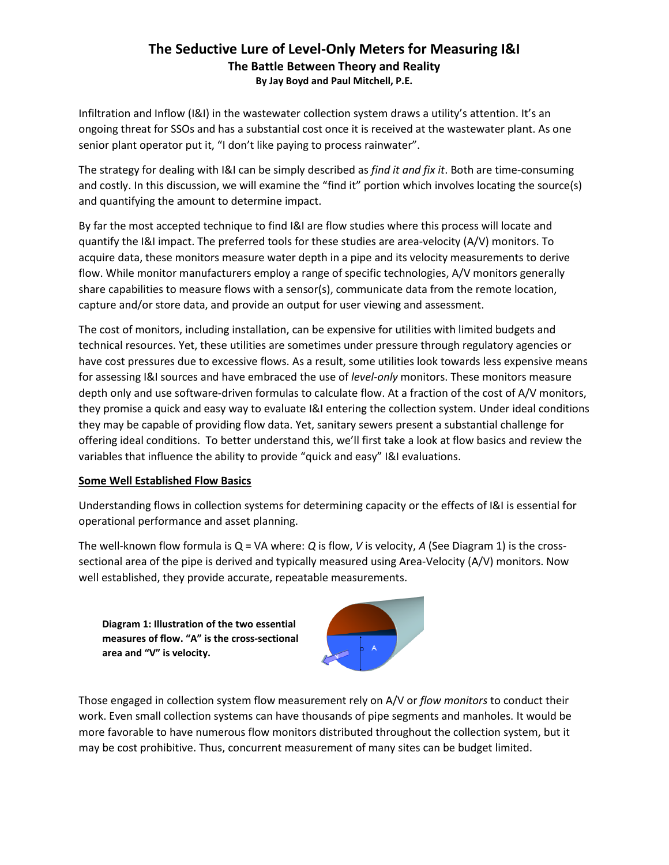Infiltration and Inflow (I&I) in the wastewater collection system draws a utility's attention. It's an ongoing threat for SSOs and has a substantial cost once it is received at the wastewater plant. As one senior plant operator put it, "I don't like paying to process rainwater".

The strategy for dealing with I&I can be simply described as *find it and fix it*. Both are time-consuming and costly. In this discussion, we will examine the "find it" portion which involves locating the source(s) and quantifying the amount to determine impact.

By far the most accepted technique to find I&I are flow studies where this process will locate and quantify the I&I impact. The preferred tools for these studies are area-velocity (A/V) monitors. To acquire data, these monitors measure water depth in a pipe and its velocity measurements to derive flow. While monitor manufacturers employ a range of specific technologies, A/V monitors generally share capabilities to measure flows with a sensor(s), communicate data from the remote location, capture and/or store data, and provide an output for user viewing and assessment.

The cost of monitors, including installation, can be expensive for utilities with limited budgets and technical resources. Yet, these utilities are sometimes under pressure through regulatory agencies or have cost pressures due to excessive flows. As a result, some utilities look towards less expensive means for assessing I&I sources and have embraced the use of *level-only* monitors. These monitors measure depth only and use software-driven formulas to calculate flow. At a fraction of the cost of A/V monitors, they promise a quick and easy way to evaluate I&I entering the collection system. Under ideal conditions they may be capable of providing flow data. Yet, sanitary sewers present a substantial challenge for offering ideal conditions. To better understand this, we'll first take a look at flow basics and review the variables that influence the ability to provide "quick and easy" I&I evaluations.

#### **Some Well Established Flow Basics**

Understanding flows in collection systems for determining capacity or the effects of I&I is essential for operational performance and asset planning.

The well-known flow formula is Q = VA where: *Q* is flow, *V* is velocity, *A* (See Diagram 1) is the crosssectional area of the pipe is derived and typically measured using Area-Velocity (A/V) monitors. Now well established, they provide accurate, repeatable measurements.

**Diagram 1: Illustration of the two essential measures of flow. "A" is the cross-sectional area and "V" is velocity.**



Those engaged in collection system flow measurement rely on A/V or *flow monitors* to conduct their work. Even small collection systems can have thousands of pipe segments and manholes. It would be more favorable to have numerous flow monitors distributed throughout the collection system, but it may be cost prohibitive. Thus, concurrent measurement of many sites can be budget limited.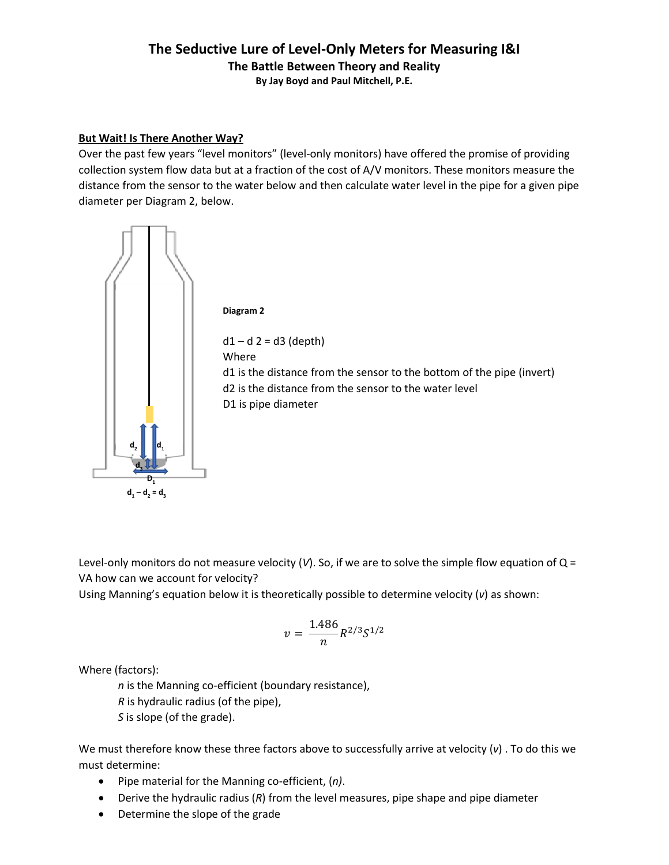#### **But Wait! Is There Another Way?**

Over the past few years "level monitors" (level-only monitors) have offered the promise of providing collection system flow data but at a fraction of the cost of A/V monitors. These monitors measure the distance from the sensor to the water below and then calculate water level in the pipe for a given pipe diameter per Diagram 2, below.



Level-only monitors do not measure velocity (*V*). So, if we are to solve the simple flow equation of Q = VA how can we account for velocity?

Using Manning's equation below it is theoretically possible to determine velocity (*v*) as shown:

$$
v=\frac{1.486}{n}R^{2/3}S^{1/2}
$$

Where (factors):

*n* is the Manning co-efficient (boundary resistance),

*R* is hydraulic radius (of the pipe),

*S* is slope (of the grade).

We must therefore know these three factors above to successfully arrive at velocity (*v*) . To do this we must determine:

- Pipe material for the Manning co-efficient, (*n)*.
- Derive the hydraulic radius (*R*) from the level measures, pipe shape and pipe diameter
- Determine the slope of the grade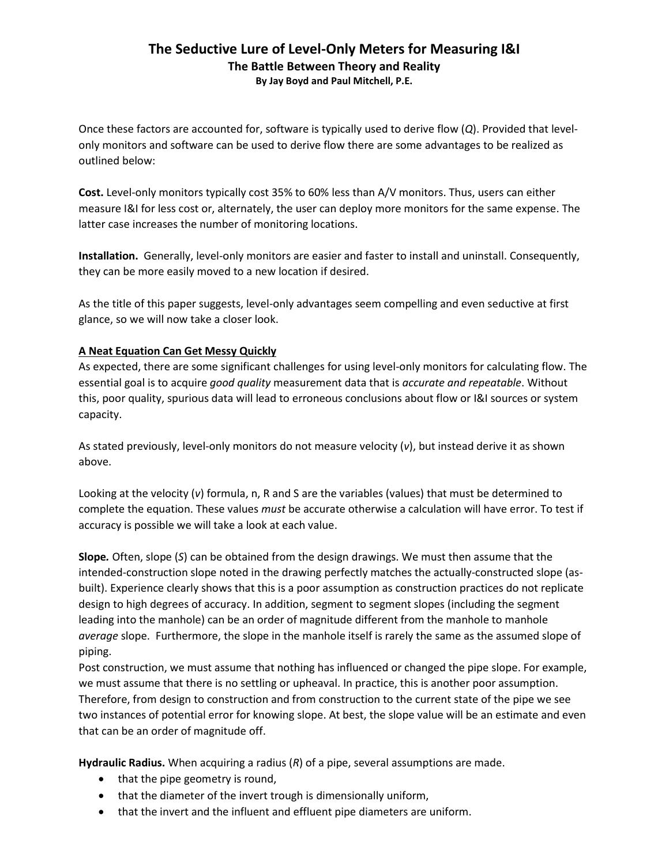Once these factors are accounted for, software is typically used to derive flow (*Q*). Provided that levelonly monitors and software can be used to derive flow there are some advantages to be realized as outlined below:

**Cost.** Level-only monitors typically cost 35% to 60% less than A/V monitors. Thus, users can either measure I&I for less cost or, alternately, the user can deploy more monitors for the same expense. The latter case increases the number of monitoring locations.

**Installation.** Generally, level-only monitors are easier and faster to install and uninstall. Consequently, they can be more easily moved to a new location if desired.

As the title of this paper suggests, level-only advantages seem compelling and even seductive at first glance, so we will now take a closer look.

### **A Neat Equation Can Get Messy Quickly**

As expected, there are some significant challenges for using level-only monitors for calculating flow. The essential goal is to acquire *good quality* measurement data that is *accurate and repeatable*. Without this, poor quality, spurious data will lead to erroneous conclusions about flow or I&I sources or system capacity.

As stated previously, level-only monitors do not measure velocity (*v*), but instead derive it as shown above.

Looking at the velocity (*v*) formula, n, R and S are the variables (values) that must be determined to complete the equation. These values *must* be accurate otherwise a calculation will have error. To test if accuracy is possible we will take a look at each value.

**Slope***.* Often, slope (*S*) can be obtained from the design drawings. We must then assume that the intended-construction slope noted in the drawing perfectly matches the actually-constructed slope (asbuilt). Experience clearly shows that this is a poor assumption as construction practices do not replicate design to high degrees of accuracy. In addition, segment to segment slopes (including the segment leading into the manhole) can be an order of magnitude different from the manhole to manhole *average* slope. Furthermore, the slope in the manhole itself is rarely the same as the assumed slope of piping.

Post construction, we must assume that nothing has influenced or changed the pipe slope. For example, we must assume that there is no settling or upheaval. In practice, this is another poor assumption. Therefore, from design to construction and from construction to the current state of the pipe we see two instances of potential error for knowing slope. At best, the slope value will be an estimate and even that can be an order of magnitude off.

**Hydraulic Radius.** When acquiring a radius (*R*) of a pipe, several assumptions are made.

- that the pipe geometry is round,
- that the diameter of the invert trough is dimensionally uniform,
- that the invert and the influent and effluent pipe diameters are uniform.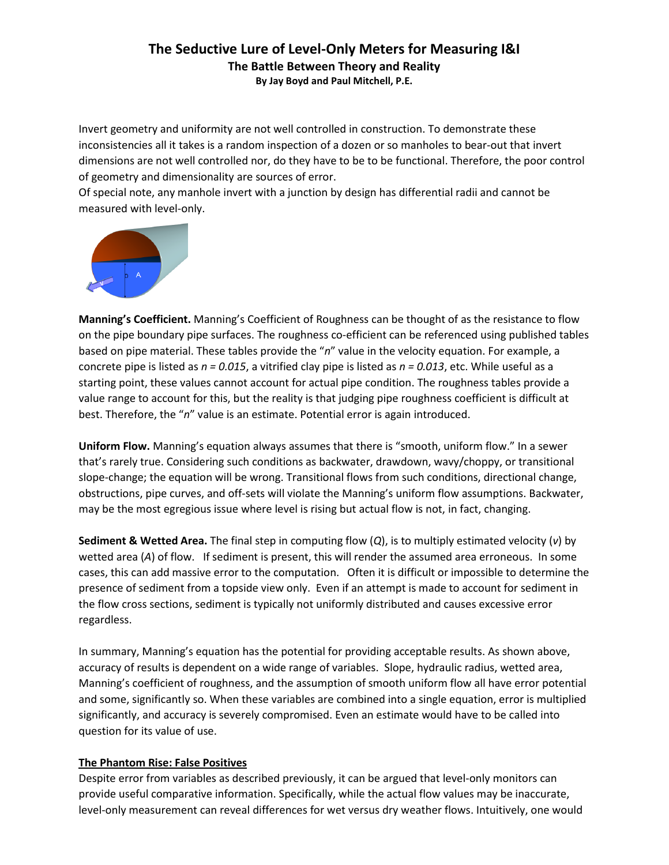Invert geometry and uniformity are not well controlled in construction. To demonstrate these inconsistencies all it takes is a random inspection of a dozen or so manholes to bear-out that invert dimensions are not well controlled nor, do they have to be to be functional. Therefore, the poor control of geometry and dimensionality are sources of error.

Of special note, any manhole invert with a junction by design has differential radii and cannot be measured with level-only.



**Manning's Coefficient.** Manning's Coefficient of Roughness can be thought of as the resistance to flow on the pipe boundary pipe surfaces. The roughness co-efficient can be referenced using published tables based on pipe material. These tables provide the "*n*" value in the velocity equation. For example, a concrete pipe is listed as *n = 0.015*, a vitrified clay pipe is listed as *n = 0.013*, etc. While useful as a starting point, these values cannot account for actual pipe condition. The roughness tables provide a value range to account for this, but the reality is that judging pipe roughness coefficient is difficult at best. Therefore, the "*n*" value is an estimate. Potential error is again introduced.

**Uniform Flow.** Manning's equation always assumes that there is "smooth, uniform flow." In a sewer that's rarely true. Considering such conditions as backwater, drawdown, wavy/choppy, or transitional slope-change; the equation will be wrong. Transitional flows from such conditions, directional change, obstructions, pipe curves, and off-sets will violate the Manning's uniform flow assumptions. Backwater, may be the most egregious issue where level is rising but actual flow is not, in fact, changing.

**Sediment & Wetted Area.** The final step in computing flow (*Q*), is to multiply estimated velocity (*v*) by wetted area (*A*) of flow. If sediment is present, this will render the assumed area erroneous. In some cases, this can add massive error to the computation. Often it is difficult or impossible to determine the presence of sediment from a topside view only. Even if an attempt is made to account for sediment in the flow cross sections, sediment is typically not uniformly distributed and causes excessive error regardless.

In summary, Manning's equation has the potential for providing acceptable results. As shown above, accuracy of results is dependent on a wide range of variables. Slope, hydraulic radius, wetted area, Manning's coefficient of roughness, and the assumption of smooth uniform flow all have error potential and some, significantly so. When these variables are combined into a single equation, error is multiplied significantly, and accuracy is severely compromised. Even an estimate would have to be called into question for its value of use.

### **The Phantom Rise: False Positives**

Despite error from variables as described previously, it can be argued that level-only monitors can provide useful comparative information. Specifically, while the actual flow values may be inaccurate, level-only measurement can reveal differences for wet versus dry weather flows. Intuitively, one would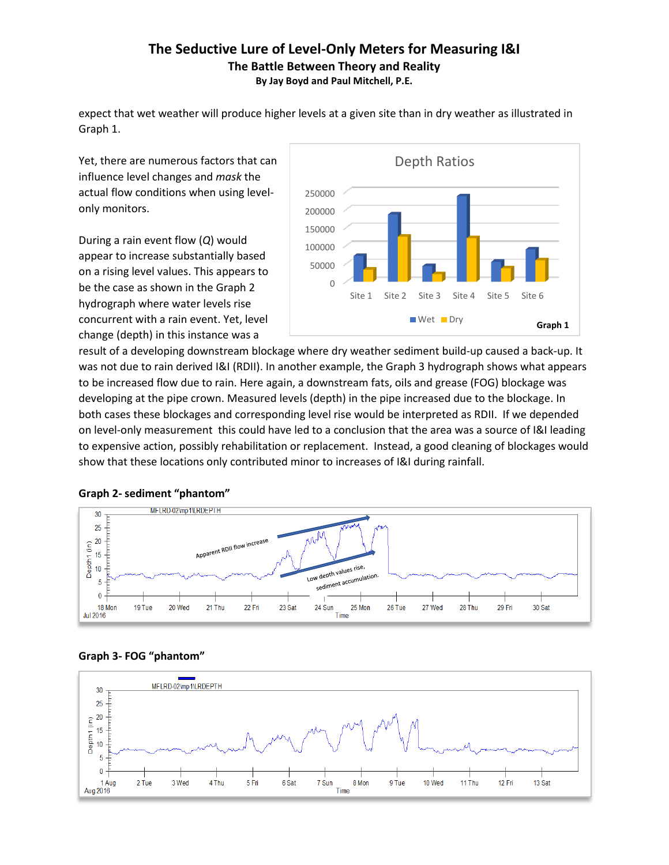expect that wet weather will produce higher levels at a given site than in dry weather as illustrated in Graph 1.

Yet, there are numerous factors that can influence level changes and *mask* the actual flow conditions when using levelonly monitors.

During a rain event flow (*Q*) would appear to increase substantially based on a rising level values. This appears to be the case as shown in the Graph 2 hydrograph where water levels rise concurrent with a rain event. Yet, level change (depth) in this instance was a



result of a developing downstream blockage where dry weather sediment build-up caused a back-up. It was not due to rain derived I&I (RDII). In another example, the Graph 3 hydrograph shows what appears to be increased flow due to rain. Here again, a downstream fats, oils and grease (FOG) blockage was developing at the pipe crown. Measured levels (depth) in the pipe increased due to the blockage. In both cases these blockages and corresponding level rise would be interpreted as RDII. If we depended on level-only measurement this could have led to a conclusion that the area was a source of I&I leading to expensive action, possibly rehabilitation or replacement. Instead, a good cleaning of blockages would show that these locations only contributed minor to increases of I&I during rainfall.







#### **Graph 3- FOG "phantom"**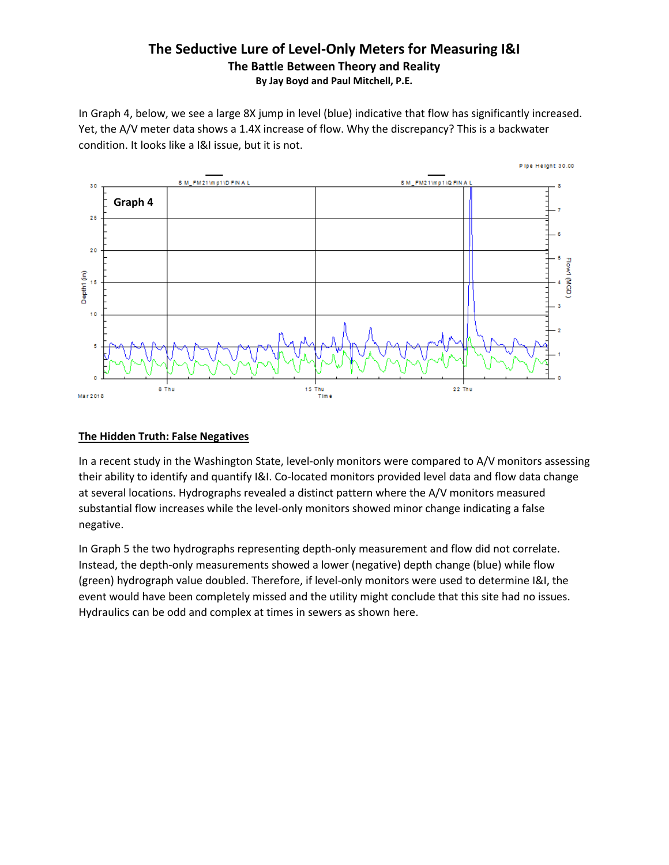In Graph 4, below, we see a large 8X jump in level (blue) indicative that flow has significantly increased. Yet, the A/V meter data shows a 1.4X increase of flow. Why the discrepancy? This is a backwater condition. It looks like a I&I issue, but it is not.



#### **The Hidden Truth: False Negatives**

In a recent study in the Washington State, level-only monitors were compared to A/V monitors assessing their ability to identify and quantify I&I. Co-located monitors provided level data and flow data change at several locations. Hydrographs revealed a distinct pattern where the A/V monitors measured substantial flow increases while the level-only monitors showed minor change indicating a false negative.

In Graph 5 the two hydrographs representing depth-only measurement and flow did not correlate. Instead, the depth-only measurements showed a lower (negative) depth change (blue) while flow (green) hydrograph value doubled. Therefore, if level-only monitors were used to determine I&I, the event would have been completely missed and the utility might conclude that this site had no issues. Hydraulics can be odd and complex at times in sewers as shown here.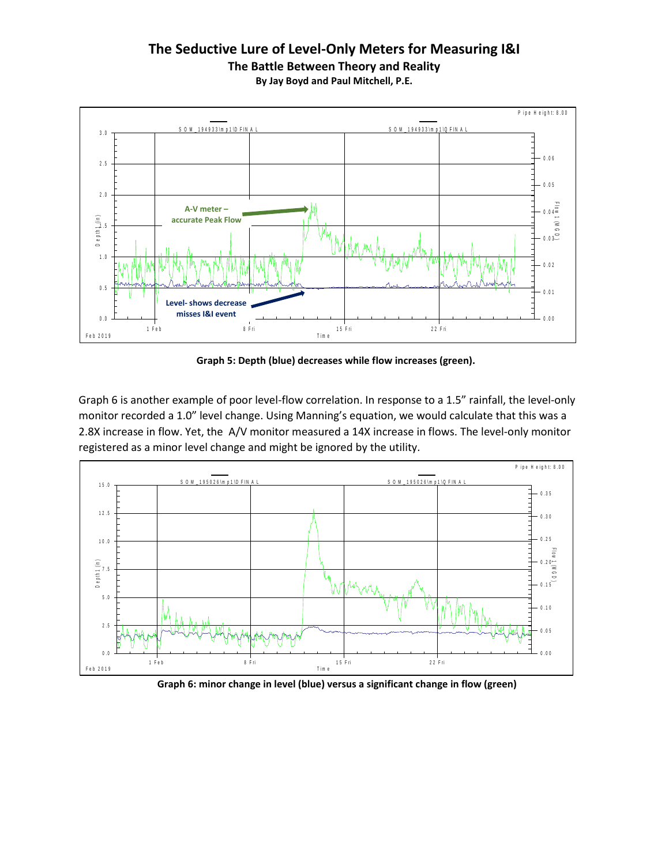# **The Seductive Lure of Level-Only Meters for Measuring I&I The Battle Between Theory and Reality**



**Graph 5: Depth (blue) decreases while flow increases (green).**

Graph 6 is another example of poor level-flow correlation. In response to a 1.5" rainfall, the level-only monitor recorded a 1.0" level change. Using Manning's equation, we would calculate that this was a 2.8X increase in flow. Yet, the A/V monitor measured a 14X increase in flows. The level-only monitor 2.8X increase in flow. Yet, the A/V monitor measured a 14X increase in<br>registered as a minor level change and might be ignored by the utility.



**Graph 6: minor change in level (blue) versus a significant change in flow (green)**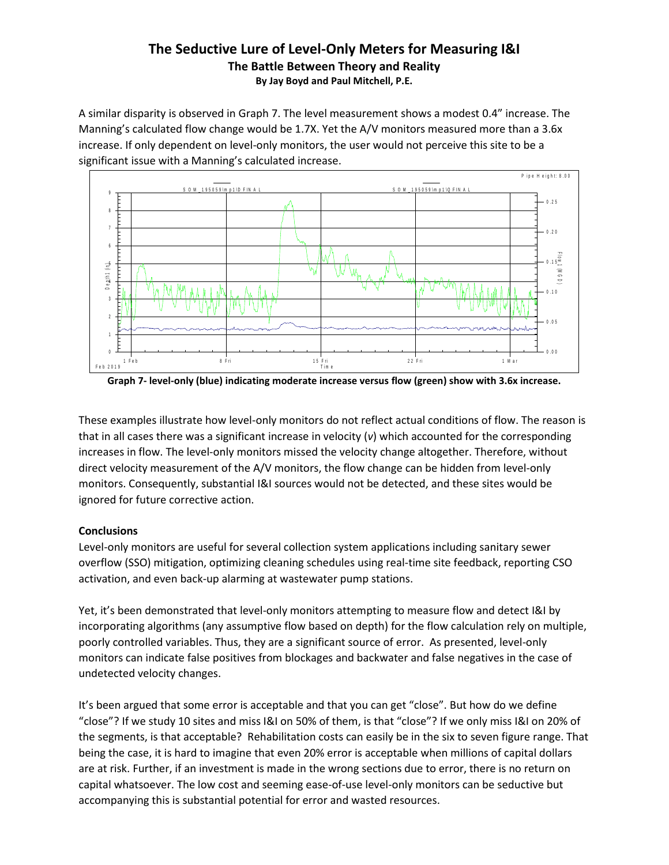A similar disparity is observed in Graph 7. The level measurement shows a modest 0.4" increase. The Manning's calculated flow change would be 1.7X. Yet the A/V monitors measured more than a 3.6x increase. If only dependent on level-only monitors, the user would not perceive this site to be a<br>significant issue with a Manning's calculated increase. significant issue with a Manning's calculated increase.



**Graph 7- level-only (blue) indicating moderate increase versus flow (green) show with 3.6x increase.**

These examples illustrate how level-only monitors do not reflect actual conditions of flow. The reason is that in all cases there was a significant increase in velocity (*v*) which accounted for the corresponding increases in flow. The level-only monitors missed the velocity change altogether. Therefore, without direct velocity measurement of the A/V monitors, the flow change can be hidden from level-only monitors. Consequently, substantial I&I sources would not be detected, and these sites would be ignored for future corrective action.

#### **Conclusions**

Level-only monitors are useful for several collection system applications including sanitary sewer overflow (SSO) mitigation, optimizing cleaning schedules using real-time site feedback, reporting CSO activation, and even back-up alarming at wastewater pump stations.

Yet, it's been demonstrated that level-only monitors attempting to measure flow and detect I&I by incorporating algorithms (any assumptive flow based on depth) for the flow calculation rely on multiple, poorly controlled variables. Thus, they are a significant source of error. As presented, level-only monitors can indicate false positives from blockages and backwater and false negatives in the case of undetected velocity changes.

It's been argued that some error is acceptable and that you can get "close". But how do we define "close"? If we study 10 sites and miss I&I on 50% of them, is that "close"? If we only miss I&I on 20% of the segments, is that acceptable? Rehabilitation costs can easily be in the six to seven figure range. That being the case, it is hard to imagine that even 20% error is acceptable when millions of capital dollars are at risk. Further, if an investment is made in the wrong sections due to error, there is no return on capital whatsoever. The low cost and seeming ease-of-use level-only monitors can be seductive but accompanying this is substantial potential for error and wasted resources.